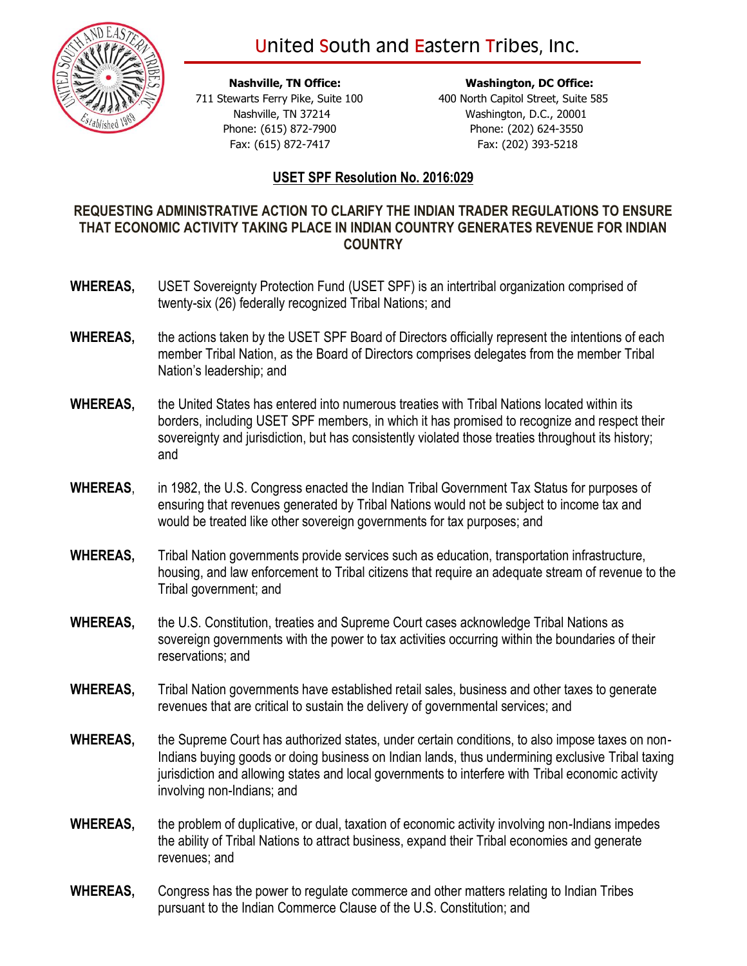## United South and Eastern Tribes, Inc.



 **Nashville, TN Office: Washington, DC Office:** 711 Stewarts Ferry Pike, Suite 100 400 North Capitol Street, Suite 585 Nashville, TN 37214 Washington, D.C., 20001 Phone: (615) 872-7900 Phone: (202) 624-3550 Fax: (615) 872-7417 Fax: (202) 393-5218

## **USET SPF Resolution No. 2016:029**

## **REQUESTING ADMINISTRATIVE ACTION TO CLARIFY THE INDIAN TRADER REGULATIONS TO ENSURE THAT ECONOMIC ACTIVITY TAKING PLACE IN INDIAN COUNTRY GENERATES REVENUE FOR INDIAN COUNTRY**

- **WHEREAS,** USET Sovereignty Protection Fund (USET SPF) is an intertribal organization comprised of twenty-six (26) federally recognized Tribal Nations; and
- **WHEREAS,** the actions taken by the USET SPF Board of Directors officially represent the intentions of each member Tribal Nation, as the Board of Directors comprises delegates from the member Tribal Nation's leadership; and
- **WHEREAS,** the United States has entered into numerous treaties with Tribal Nations located within its borders, including USET SPF members, in which it has promised to recognize and respect their sovereignty and jurisdiction, but has consistently violated those treaties throughout its history; and
- **WHEREAS**, in 1982, the U.S. Congress enacted the Indian Tribal Government Tax Status for purposes of ensuring that revenues generated by Tribal Nations would not be subject to income tax and would be treated like other sovereign governments for tax purposes; and
- **WHEREAS,** Tribal Nation governments provide services such as education, transportation infrastructure, housing, and law enforcement to Tribal citizens that require an adequate stream of revenue to the Tribal government; and
- **WHEREAS,** the U.S. Constitution, treaties and Supreme Court cases acknowledge Tribal Nations as sovereign governments with the power to tax activities occurring within the boundaries of their reservations; and
- **WHEREAS,** Tribal Nation governments have established retail sales, business and other taxes to generate revenues that are critical to sustain the delivery of governmental services; and
- **WHEREAS,** the Supreme Court has authorized states, under certain conditions, to also impose taxes on non-Indians buying goods or doing business on Indian lands, thus undermining exclusive Tribal taxing jurisdiction and allowing states and local governments to interfere with Tribal economic activity involving non-Indians; and
- **WHEREAS,** the problem of duplicative, or dual, taxation of economic activity involving non-Indians impedes the ability of Tribal Nations to attract business, expand their Tribal economies and generate revenues; and
- **WHEREAS,** Congress has the power to regulate commerce and other matters relating to Indian Tribes pursuant to the Indian Commerce Clause of the U.S. Constitution; and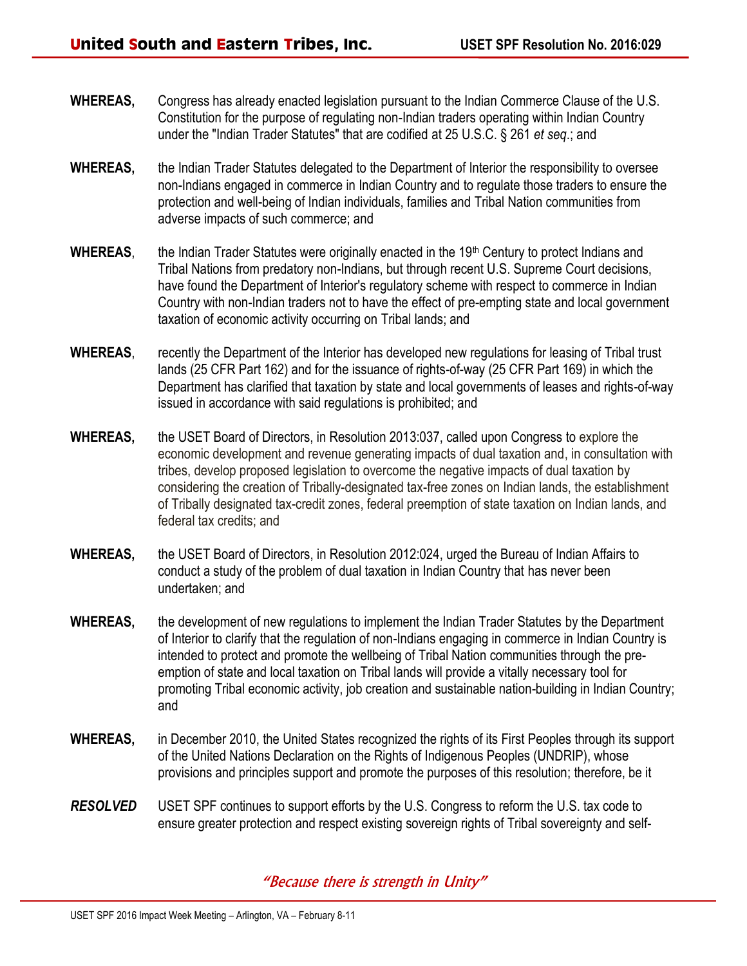- **WHEREAS,** Congress has already enacted legislation pursuant to the Indian Commerce Clause of the U.S. Constitution for the purpose of regulating non-Indian traders operating within Indian Country under the "Indian Trader Statutes" that are codified at 25 U.S.C. § 261 *et seq*.; and
- **WHEREAS,** the Indian Trader Statutes delegated to the Department of Interior the responsibility to oversee non-Indians engaged in commerce in Indian Country and to regulate those traders to ensure the protection and well-being of Indian individuals, families and Tribal Nation communities from adverse impacts of such commerce; and
- WHEREAS, the Indian Trader Statutes were originally enacted in the 19<sup>th</sup> Century to protect Indians and Tribal Nations from predatory non-Indians, but through recent U.S. Supreme Court decisions, have found the Department of Interior's regulatory scheme with respect to commerce in Indian Country with non-Indian traders not to have the effect of pre-empting state and local government taxation of economic activity occurring on Tribal lands; and
- **WHEREAS**, recently the Department of the Interior has developed new regulations for leasing of Tribal trust lands (25 CFR Part 162) and for the issuance of rights-of-way (25 CFR Part 169) in which the Department has clarified that taxation by state and local governments of leases and rights-of-way issued in accordance with said regulations is prohibited; and
- **WHEREAS,** the USET Board of Directors, in Resolution 2013:037, called upon Congress to explore the economic development and revenue generating impacts of dual taxation and, in consultation with tribes, develop proposed legislation to overcome the negative impacts of dual taxation by considering the creation of Tribally-designated tax-free zones on Indian lands, the establishment of Tribally designated tax-credit zones, federal preemption of state taxation on Indian lands, and federal tax credits; and
- **WHEREAS,** the USET Board of Directors, in Resolution 2012:024, urged the Bureau of Indian Affairs to conduct a study of the problem of dual taxation in Indian Country that has never been undertaken; and
- **WHEREAS,** the development of new regulations to implement the Indian Trader Statutes by the Department of Interior to clarify that the regulation of non-Indians engaging in commerce in Indian Country is intended to protect and promote the wellbeing of Tribal Nation communities through the preemption of state and local taxation on Tribal lands will provide a vitally necessary tool for promoting Tribal economic activity, job creation and sustainable nation-building in Indian Country; and
- **WHEREAS,** in December 2010, the United States recognized the rights of its First Peoples through its support of the United Nations Declaration on the Rights of Indigenous Peoples (UNDRIP), whose provisions and principles support and promote the purposes of this resolution; therefore, be it
- *RESOLVED* USET SPF continues to support efforts by the U.S. Congress to reform the U.S. tax code to ensure greater protection and respect existing sovereign rights of Tribal sovereignty and self-

"Because there is strength in Unity"